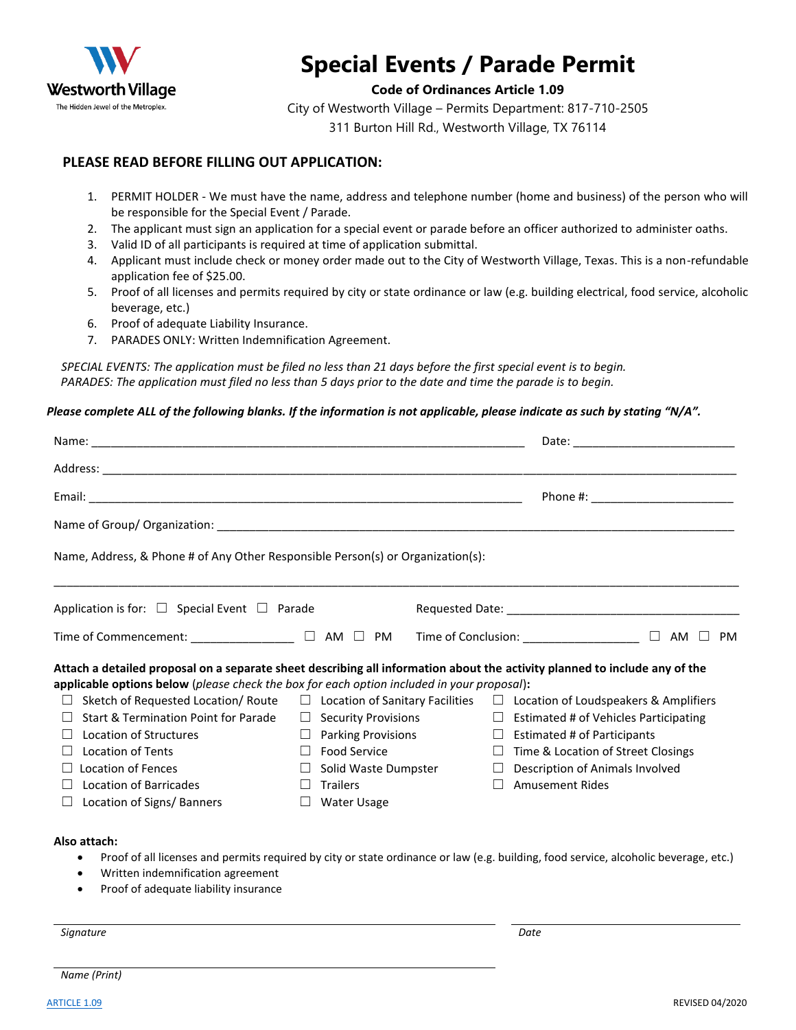

# **Special Events / Parade Permit**

#### **Code of Ordinances Article 1.09**

City of Westworth Village – Permits Department: 817-710-2505 311 Burton Hill Rd., Westworth Village, TX 76114

### **PLEASE READ BEFORE FILLING OUT APPLICATION:**

- 1. PERMIT HOLDER We must have the name, address and telephone number (home and business) of the person who will be responsible for the Special Event / Parade.
- 2. The applicant must sign an application for a special event or parade before an officer authorized to administer oaths.
- 3. Valid ID of all participants is required at time of application submittal.
- 4. Applicant must include check or money order made out to the City of Westworth Village, Texas. This is a non-refundable application fee of \$25.00.
- 5. Proof of all licenses and permits required by city or state ordinance or law (e.g. building electrical, food service, alcoholic beverage, etc.)
- 6. Proof of adequate Liability Insurance.
- 7. PARADES ONLY: Written Indemnification Agreement.

*SPECIAL EVENTS: The application must be filed no less than 21 days before the first special event is to begin. PARADES: The application must filed no less than 5 days prior to the date and time the parade is to begin.*

#### *Please complete ALL of the following blanks. If the information is not applicable, please indicate as such by stating "N/A".*

|                                                                                                                                                                                                                                                                                                                                                      | Date: the contract of the contract of the contract of the contract of the contract of the contract of the contract of the contract of the contract of the contract of the contract of the contract of the contract of the cont |                                                                                                                                                                                                                                                                                                                                                                                           |  |  |  |  |  |
|------------------------------------------------------------------------------------------------------------------------------------------------------------------------------------------------------------------------------------------------------------------------------------------------------------------------------------------------------|--------------------------------------------------------------------------------------------------------------------------------------------------------------------------------------------------------------------------------|-------------------------------------------------------------------------------------------------------------------------------------------------------------------------------------------------------------------------------------------------------------------------------------------------------------------------------------------------------------------------------------------|--|--|--|--|--|
|                                                                                                                                                                                                                                                                                                                                                      |                                                                                                                                                                                                                                |                                                                                                                                                                                                                                                                                                                                                                                           |  |  |  |  |  |
|                                                                                                                                                                                                                                                                                                                                                      |                                                                                                                                                                                                                                |                                                                                                                                                                                                                                                                                                                                                                                           |  |  |  |  |  |
|                                                                                                                                                                                                                                                                                                                                                      |                                                                                                                                                                                                                                |                                                                                                                                                                                                                                                                                                                                                                                           |  |  |  |  |  |
| Name, Address, & Phone # of Any Other Responsible Person(s) or Organization(s):                                                                                                                                                                                                                                                                      |                                                                                                                                                                                                                                |                                                                                                                                                                                                                                                                                                                                                                                           |  |  |  |  |  |
| Application is for: $\Box$ Special Event $\Box$ Parade                                                                                                                                                                                                                                                                                               |                                                                                                                                                                                                                                |                                                                                                                                                                                                                                                                                                                                                                                           |  |  |  |  |  |
|                                                                                                                                                                                                                                                                                                                                                      |                                                                                                                                                                                                                                | Time of Commencement: _______________ □ AM □ PM Time of Conclusion: _______________ □ AM □ PM                                                                                                                                                                                                                                                                                             |  |  |  |  |  |
| applicable options below (please check the box for each option included in your proposal):<br>Sketch of Requested Location/Route □ Location of Sanitary Facilities<br>Start & Termination Point for Parade<br>Location of Structures<br><b>Location of Tents</b><br>Location of Fences<br><b>Location of Barricades</b><br>Location of Signs/Banners | $\Box$ Security Provisions<br>$\Box$ Parking Provisions<br>$\Box$ Food Service<br>Solid Waste Dumpster<br>$\Box$<br><b>Trailers</b><br>$\perp$<br>$\Box$ Water Usage                                                           | Attach a detailed proposal on a separate sheet describing all information about the activity planned to include any of the<br>$\Box$ Location of Loudspeakers & Amplifiers<br>$\Box$ Estimated # of Vehicles Participating<br>$\Box$ Estimated # of Participants<br>$\Box$ Time & Location of Street Closings<br>Description of Animals Involved<br>$\Box$<br><b>Amusement Rides</b><br>П |  |  |  |  |  |
| Also attach:<br>Written indemnification agreement<br>٠                                                                                                                                                                                                                                                                                               |                                                                                                                                                                                                                                | Proof of all licenses and permits required by city or state ordinance or law (e.g. building, food service, alcoholic beverage, etc.)                                                                                                                                                                                                                                                      |  |  |  |  |  |

• Proof of adequate liability insurance

*Signature Date*

*Name (Print)*